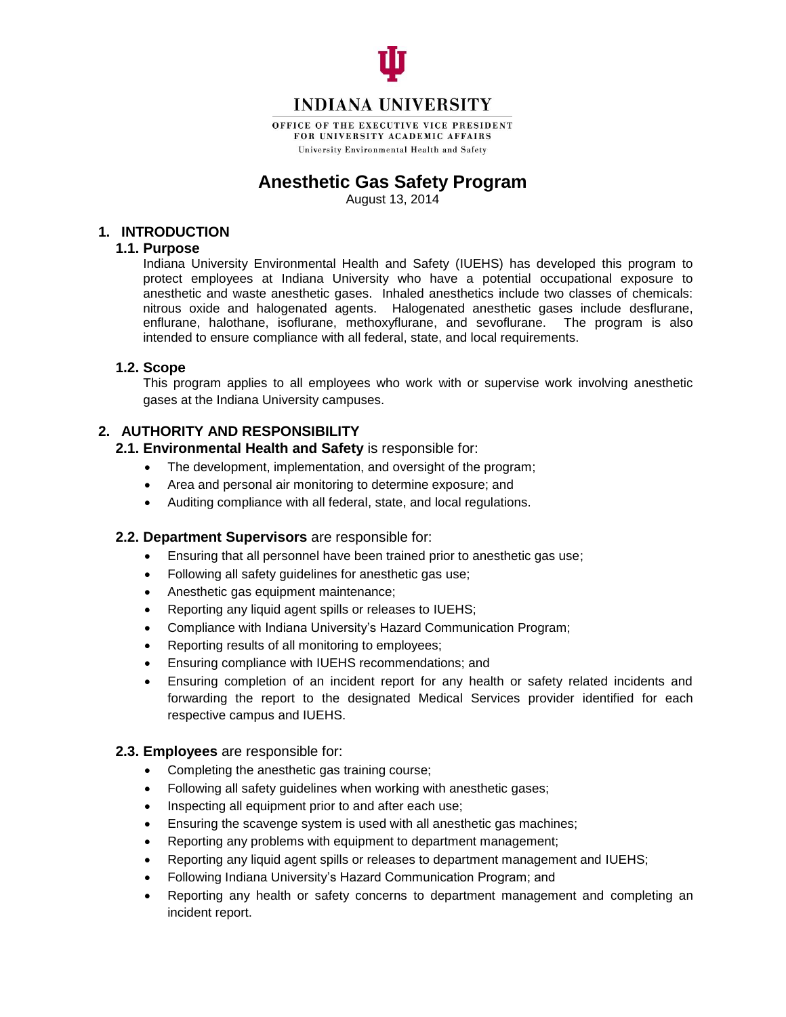

# **INDIANA UNIVERSITY**

OFFICE OF THE EXECUTIVE VICE PRESIDENT FOR UNIVERSITY ACADEMIC AFFAIRS University Environmental Health and Safety

# **Anesthetic Gas Safety Program**

August 13, 2014

### **1. INTRODUCTION**

# **1.1. Purpose**

Indiana University Environmental Health and Safety (IUEHS) has developed this program to protect employees at Indiana University who have a potential occupational exposure to anesthetic and waste anesthetic gases. Inhaled anesthetics include two classes of chemicals: nitrous oxide and halogenated agents. Halogenated anesthetic gases include desflurane, enflurane, halothane, isoflurane, methoxyflurane, and sevoflurane. The program is also intended to ensure compliance with all federal, state, and local requirements.

### **1.2. Scope**

This program applies to all employees who work with or supervise work involving anesthetic gases at the Indiana University campuses.

# **2. AUTHORITY AND RESPONSIBILITY**

### **2.1. Environmental Health and Safety** is responsible for:

- The development, implementation, and oversight of the program;
- Area and personal air monitoring to determine exposure; and
- Auditing compliance with all federal, state, and local regulations.

### **2.2. Department Supervisors** are responsible for:

- Ensuring that all personnel have been trained prior to anesthetic gas use;
- Following all safety guidelines for anesthetic gas use;
- Anesthetic gas equipment maintenance;
- Reporting any liquid agent spills or releases to IUEHS;
- Compliance with Indiana University's Hazard Communication Program;
- Reporting results of all monitoring to employees;
- Ensuring compliance with IUEHS recommendations; and
- Ensuring completion of an incident report for any health or safety related incidents and forwarding the report to the designated Medical Services provider identified for each respective campus and IUEHS.

### **2.3. Employees** are responsible for:

- Completing the anesthetic gas training course;
- Following all safety guidelines when working with anesthetic gases;
- Inspecting all equipment prior to and after each use;
- Ensuring the scavenge system is used with all anesthetic gas machines;
- Reporting any problems with equipment to department management;
- Reporting any liquid agent spills or releases to department management and IUEHS;
- Following Indiana University's Hazard Communication Program; and
- Reporting any health or safety concerns to department management and completing an incident report.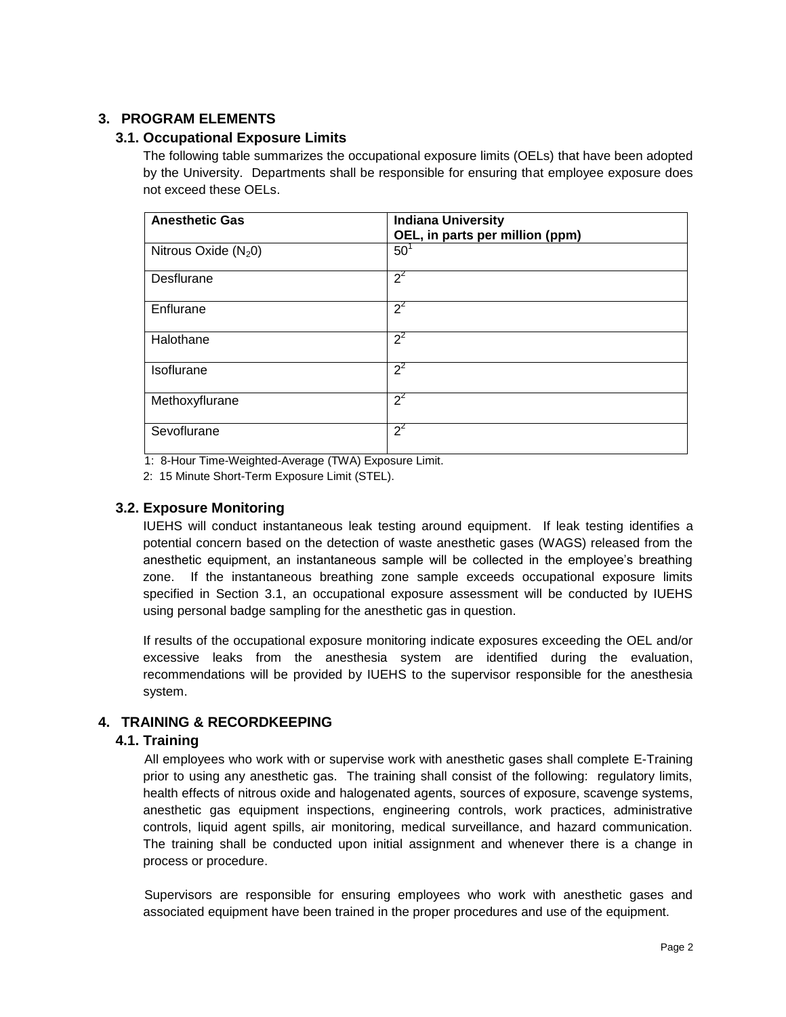# **3. PROGRAM ELEMENTS**

### **3.1. Occupational Exposure Limits**

The following table summarizes the occupational exposure limits (OELs) that have been adopted by the University. Departments shall be responsible for ensuring that employee exposure does not exceed these OELs.

| <b>Anesthetic Gas</b>  | <b>Indiana University</b><br>OEL, in parts per million (ppm) |
|------------------------|--------------------------------------------------------------|
| Nitrous Oxide $(N_20)$ | $50^1$                                                       |
| Desflurane             | $2^2$                                                        |
| Enflurane              | $2^2$                                                        |
| Halothane              | $2^2$                                                        |
| Isoflurane             | $2^2$                                                        |
| Methoxyflurane         | $2^2$                                                        |
| Sevoflurane            | $2^2$                                                        |

1: 8-Hour Time-Weighted-Average (TWA) Exposure Limit.

2: 15 Minute Short-Term Exposure Limit (STEL).

### **3.2. Exposure Monitoring**

IUEHS will conduct instantaneous leak testing around equipment. If leak testing identifies a potential concern based on the detection of waste anesthetic gases (WAGS) released from the anesthetic equipment, an instantaneous sample will be collected in the employee's breathing zone. If the instantaneous breathing zone sample exceeds occupational exposure limits specified in Section 3.1, an occupational exposure assessment will be conducted by IUEHS using personal badge sampling for the anesthetic gas in question.

If results of the occupational exposure monitoring indicate exposures exceeding the OEL and/or excessive leaks from the anesthesia system are identified during the evaluation, recommendations will be provided by IUEHS to the supervisor responsible for the anesthesia system.

# **4. TRAINING & RECORDKEEPING**

### **4.1. Training**

All employees who work with or supervise work with anesthetic gases shall complete E-Training prior to using any anesthetic gas. The training shall consist of the following: regulatory limits, health effects of nitrous oxide and halogenated agents, sources of exposure, scavenge systems, anesthetic gas equipment inspections, engineering controls, work practices, administrative controls, liquid agent spills, air monitoring, medical surveillance, and hazard communication. The training shall be conducted upon initial assignment and whenever there is a change in process or procedure.

Supervisors are responsible for ensuring employees who work with anesthetic gases and associated equipment have been trained in the proper procedures and use of the equipment.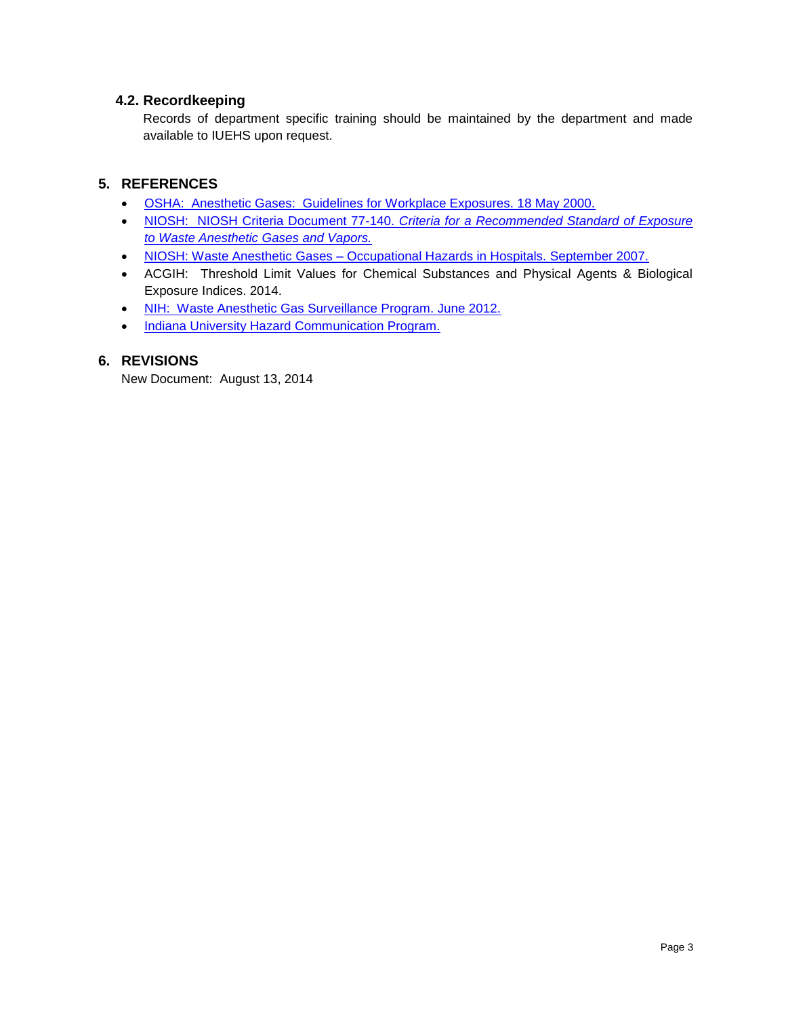# **4.2. Recordkeeping**

Records of department specific training should be maintained by the department and made available to IUEHS upon request.

# **5. REFERENCES**

- [OSHA: Anesthetic Gases: Guidelines for Workplace Exposures. 18 May 2000.](https://www.osha.gov/dts/osta/anestheticgases/)
- NIOSH: NIOSH Criteria Document 77-140. *[Criteria for a Recommended Standard of Exposure](http://www.cdc.gov/niosh/docs/1970/77-140.html)  [to Waste Anesthetic Gases and Vapors.](http://www.cdc.gov/niosh/docs/1970/77-140.html)*
- NIOSH: Waste Anesthetic Gases [Occupational Hazards in Hospitals. September 2007.](http://www.cdc.gov/niosh/docs/2007-151/)
- ACGIH: Threshold Limit Values for Chemical Substances and Physical Agents & Biological Exposure Indices. 2014.
- [NIH: Waste Anesthetic Gas Surveillance Program. June 2012.](http://www.ors.od.nih.gov/sr/dohs/Documents/Waste%20Anesthetic%20Gas%20(WAG)%20Surveillance%20Program.pdf)
- **[Indiana University Hazard Communication Program.](https://protect.iu.edu/sites/default/files/IU_Hazard_Communication_Program_2014.pdf)**

# **6. REVISIONS**

New Document: August 13, 2014